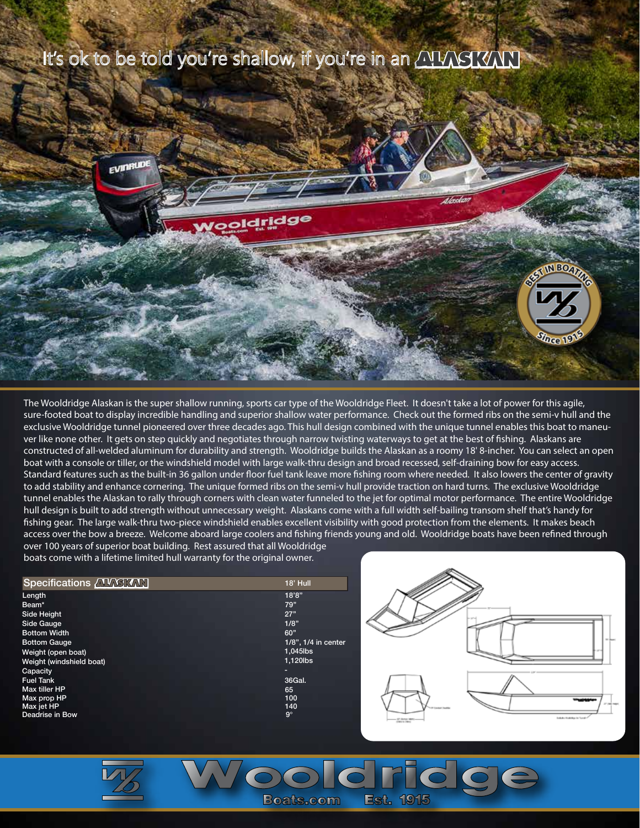

The Wooldridge Alaskan is the super shallow running, sports car type of the Wooldridge Fleet. It doesn't take a lot of power for this agile, sure-footed boat to display incredible handling and superior shallow water performance. Check out the formed ribs on the semi-v hull and the exclusive Wooldridge tunnel pioneered over three decades ago. This hull design combined with the unique tunnel enables this boat to maneuver like none other. It gets on step quickly and negotiates through narrow twisting waterways to get at the best of fishing. Alaskans are constructed of all-welded aluminum for durability and strength. Wooldridge builds the Alaskan as a roomy 18' 8-incher. You can select an open boat with a console or tiller, or the windshield model with large walk-thru design and broad recessed, self-draining bow for easy access. Standard features such as the built-in 36 gallon under floor fuel tank leave more fishing room where needed. It also lowers the center of gravity to add stability and enhance cornering. The unique formed ribs on the semi-v hull provide traction on hard turns. The exclusive Wooldridge tunnel enables the Alaskan to rally through corners with clean water funneled to the jet for optimal motor performance. The entire Wooldridge hull design is built to add strength without unnecessary weight. Alaskans come with a full width self-bailing transom shelf that's handy for fishing gear. The large walk-thru two-piece windshield enables excellent visibility with good protection from the elements. It makes beach access over the bow a breeze. Welcome aboard large coolers and fishing friends young and old. Wooldridge boats have been refined through over 100 years of superior boat building. Rest assured that all Wooldridge

**OOCF** 

**Est. 1915** 

**Boats**, com

boats come with a lifetime limited hull warranty for the original owner.

| Specifications <b>AVASKAN</b> | 18' Hull            |
|-------------------------------|---------------------|
| Length                        | 18'8"               |
| Beam*                         | 79"                 |
| Side Height                   | 27"                 |
| Side Gauge                    | 1/8"                |
| <b>Bottom Width</b>           | 60"                 |
| <b>Bottom Gauge</b>           | 1/8", 1/4 in center |
| Weight (open boat)            | $1,045$ lbs         |
| Weight (windshield boat)      | 1,120lbs            |
| Capacity                      |                     |
| <b>Fuel Tank</b>              | 36Gal.              |
| Max tiller HP                 | 65                  |
| Max prop HP                   | 100                 |
| Max jet HP                    | 140                 |
| Deadrise in Bow               | $9^\circ$           |
|                               |                     |